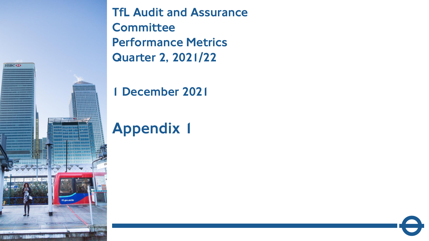TfL Audit and Assurance **Committee** Performance Metrics Quarter 2, 2021/22

1 December 2021

# Appendix 1

1

tfl.gov.uk/dlr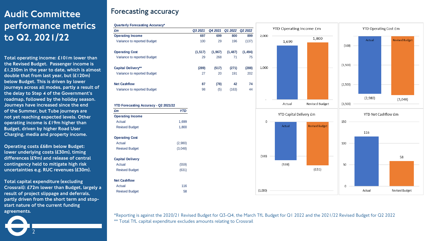## Audit Committee performance metrics to Q2, 2021/22

Total operating income: £101m lower than the Revised Budget. Passenger income is £1,250m in the year to date, which is almost double that from last year, but (£120m) below Budget. This is driven by lower journeys across all modes, partly a result of the delay to Step 4 of the Government's roadmap, followed by the holiday season. Journeys have increased since the end of the Summer, but Tube journeys are not yet reaching expected levels. Other operating income is £19m higher than Budget, driven by higher Road User Charging, media and property income.

Operating costs £68m below Budget: lower underlying costs (£30m), timing differences (£9m) and release of central contingency held to mitigate high risk uncertainties e.g. RUC revenues (£30m).

Total capital expenditure (excluding Crossrail): £72m lower than Budget, largely a result of project slippage and deferrals, partly driven from the short term and stopstart nature of the current funding agreements.

2

### **Forecasting accuracy**





\*Reporting is against the 2020/21 Revised Budget for Q3-Q4, the March TfL Budget for Q1 2022 and the 2021/22 Revised Budget for Q2 2022 \*\* Total TfL capital expenditure excludes amounts relating to Crossrail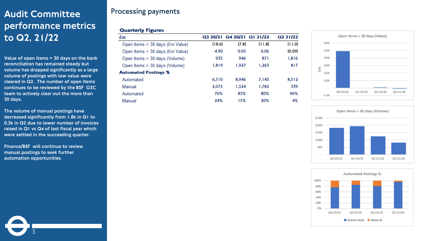## **Processing payments** Audit Committee performance metrics to Q2, 21/22

Value of open items > 30 days on the bank reconciliation has remained steady but volume has dropped significantly as a large volume of postings with low value were cleared in Q2 . The number of open items continues to be reviewed by the BSF O2C team to actively clear out the more than 30 days.

The volume of manual postings have decreased significantly from 1.8k in Q1 to 0.3k in Q2 due to lower number of invoices raised in Q1 vs Q4 of last fiscal year which were settled in the succeeding quarter.

Finance/BSF will continue to review manual postings to seek further automation opportunities.

3

#### **Quarterly Figures**

| £m                              |        | Q3 20/21 Q4 20/21 Q1 21/22 |        | Q2 21/22 |
|---------------------------------|--------|----------------------------|--------|----------|
| Open Items < 30 days (£m Value) | (18.6) | (7.8)                      | (11.8) | (11.0)   |
| Open Items > 30 days (£m Value) | 4.90   | 0.05                       | 0.06   | (0.09)   |
| Open Items < 30 days (Volume)   | 935    | 946                        | 871    | 1,816    |
| Open Items > 30 days (Volume)   | 1,819  | 1.927                      | 1.263  | 817      |
| <b>Automated Postings %</b>     |        |                            |        |          |
| Automated                       | 6.710  | 8.946                      | 7.145  | 8.512    |
| Manual                          | 2.075  | 1.524                      | 1.782  | 339      |
| Automated                       | 76%    | 85%                        | 80%    | 96%      |
| Manual                          | 24%    | 15%                        | 20%    | 4%       |





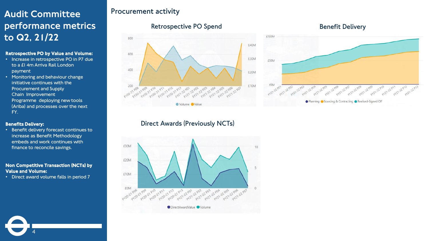## **Procurement activity** Audit Committee performance metrics to Q2, 21/22

#### Retrospective PO by Value and Volume:

- Increase in retrospective PO in P7 due to a £1 4m Arriva Rail London payment
- Monitoring and behaviour change initiative continues with the Procurement and Supply Chain Improvement Programme deploying new tools (Ariba) and processes over the next FY.

#### Benefits Delivery:

• Benefit delivery forecast continues to increase as Benefit Methodology embeds and work continues with finance to reconcile savings.

#### Non Competitive Transaction (NCTs) by Value and Volume:

• Direct award volume falls in period 7

4

#### **Retrospective PO Spend**



#### **Benefit Delivery**



#### **Direct Awards (Previously NCTs)**

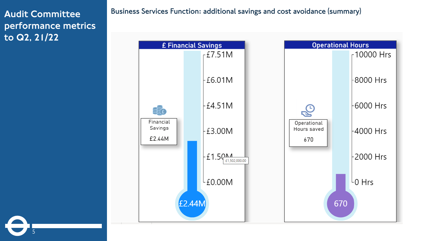## Audit Committee performance metrics to Q2, 21/22

5

**Business Services Function: additional savings and cost avoidance (summary)**

**Operational Hours** £ Financial Savings  $E$ 7.51M  $r$ 10000 Hrs  $-E6.01M$ -8000 Hrs  $-E4.51M$ -6000 Hrs SEO Financial Operational Savings Hours saved  $\pm 3.00M$ ⊦4000 Hrs £2.44M 670  $E1.5Q_{£1,502,000.00}^{A}$ 2000 Hrs |  $L_{\text{E0.00M}}$ L<sub>0</sub> Hrs £2.44M 670